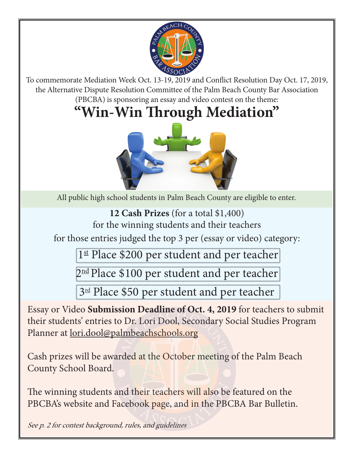

To commemorate Mediation Week Oct. 13-19, 2019 and Conflict Resolution Day Oct. 17, 2019, the Alternative Dispute Resolution Committee of the Palm Beach County Bar Association (PBCBA) is sponsoring an essay and video contest on the theme:

# **"Win-Win Through Mediation"**



All public high school students in Palm Beach County are eligible to enter.

**12 Cash Prizes** (for a total \$1,400)

for the winning students and their teachers

for those entries judged the top 3 per (essay or video) category:

1st Place \$200 per student and per teacher

2<sup>nd</sup> Place \$100 per student and per teacher

3<sup>rd</sup> Place \$50 per student and per teacher

Essay or Video **Submission Deadline of Oct. 4, 2019** for teachers to submit their students' entries to Dr. Lori Dool, Secondary Social Studies Program Planner at lori.dool@palmbeachschools.org o Dr. Lori Dool, Secondary Solon Beatanne<br>almbeachschools.org<br>rded at the October meeting

Cash prizes will be awarded at the October meeting of the Palm Beach County School Board.

The winning students and their teachers will also be featured on the PBCBA's website and Facebook page, and in the PBCBA Bar Bulletin. nd their teachers will also be<br>acebook page, and in the PB<br>d, rules, and guidelines

See p. 2 for contest background, rules, and guidelines